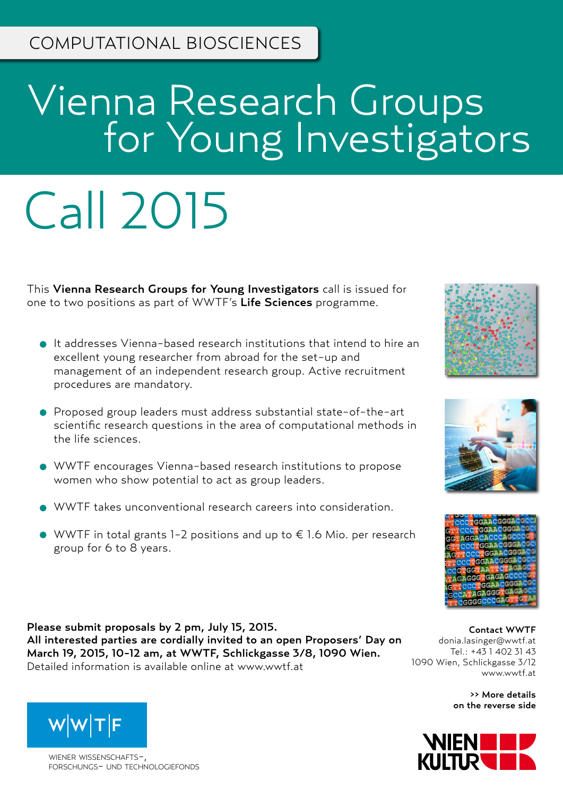# Vienna Research Groups **For Young Investigators**

# Call 2015

This Vienna Research Groups for Young Investigators call is issued for one to two positions as part of WWTF's Life Sciences programme.

- It addresses Vienna-based research institutions that intend to hire an excellent young researcher from abroad for the set-up and management of an independent research group. Active recruitment procedures are mandatory.
- Proposed group leaders must address substantial state-of-the-art scientific research questions in the area of computational methods in the life sciences.
- WWTF encourages Vienna-based research institutions to propose women who show potential to act as group leaders.
- WWTF takes unconventional research careers into consideration.
- $\bullet$  WWTF in total grants 1-2 positions and up to € 1.6 Mio. per research group for 6 to 8 years.

Please submit proposals by 2 pm, July 15, 2015. All interested parties are cordially invited to an open Proposers' Day on March 19, 2015, 10-12 am, at WWTF, Schlickgasse 3/8, 1090 Wien. Detailed information is available online at www.wwtf.at

Contact WWTF donia.lasinger@wwtf.at Tel.: +43 1 402 31 43 1090 Wien, Schlickgasse 3/12 www.wwtf.at

>> More details on the reverse side





wiener wissenschafts-, forschungs- und technologiefonds